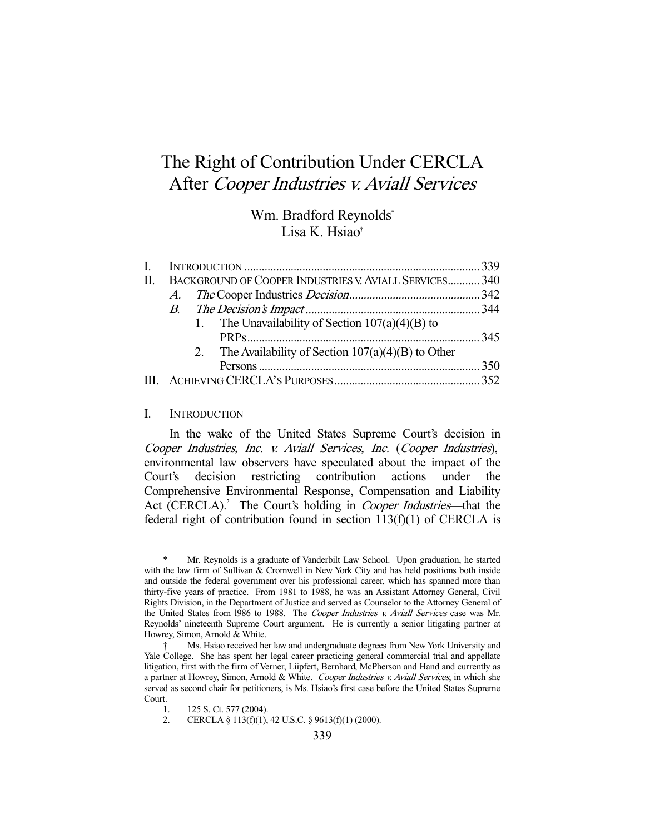# The Right of Contribution Under CERCLA After Cooper Industries v. Aviall Services

# Wm. Bradford Reynolds\* Lisa K. Hsiao†

| II. | BACKGROUND OF COOPER INDUSTRIES V. AVIALL SERVICES 340 |                                                        |  |
|-----|--------------------------------------------------------|--------------------------------------------------------|--|
|     |                                                        |                                                        |  |
|     |                                                        |                                                        |  |
|     |                                                        | 1. The Unavailability of Section $107(a)(4)(B)$ to     |  |
|     |                                                        |                                                        |  |
|     |                                                        | 2. The Availability of Section $107(a)(4)(B)$ to Other |  |
|     |                                                        |                                                        |  |
|     |                                                        |                                                        |  |
|     |                                                        |                                                        |  |

#### I. INTRODUCTION

-

 In the wake of the United States Supreme Court's decision in Cooper Industries, Inc. v. Aviall Services, Inc. (Cooper Industries), $^1$ environmental law observers have speculated about the impact of the Court's decision restricting contribution actions under the Comprehensive Environmental Response, Compensation and Liability Act (CERCLA).<sup>2</sup> The Court's holding in *Cooper Industries*—that the federal right of contribution found in section  $113(f)(1)$  of CERCLA is

Mr. Reynolds is a graduate of Vanderbilt Law School. Upon graduation, he started with the law firm of Sullivan & Cromwell in New York City and has held positions both inside and outside the federal government over his professional career, which has spanned more than thirty-five years of practice. From 1981 to 1988, he was an Assistant Attorney General, Civil Rights Division, in the Department of Justice and served as Counselor to the Attorney General of the United States from 1986 to 1988. The Cooper Industries v. Aviall Services case was Mr. Reynolds' nineteenth Supreme Court argument. He is currently a senior litigating partner at Howrey, Simon, Arnold & White.

 <sup>†</sup> Ms. Hsiao received her law and undergraduate degrees from New York University and Yale College. She has spent her legal career practicing general commercial trial and appellate litigation, first with the firm of Verner, Liipfert, Bernhard, McPherson and Hand and currently as a partner at Howrey, Simon, Arnold & White. Cooper Industries v. Aviall Services, in which she served as second chair for petitioners, is Ms. Hsiao's first case before the United States Supreme Court.

 <sup>1. 125</sup> S. Ct. 577 (2004).

 <sup>2.</sup> CERCLA § 113(f)(1), 42 U.S.C. § 9613(f)(1) (2000).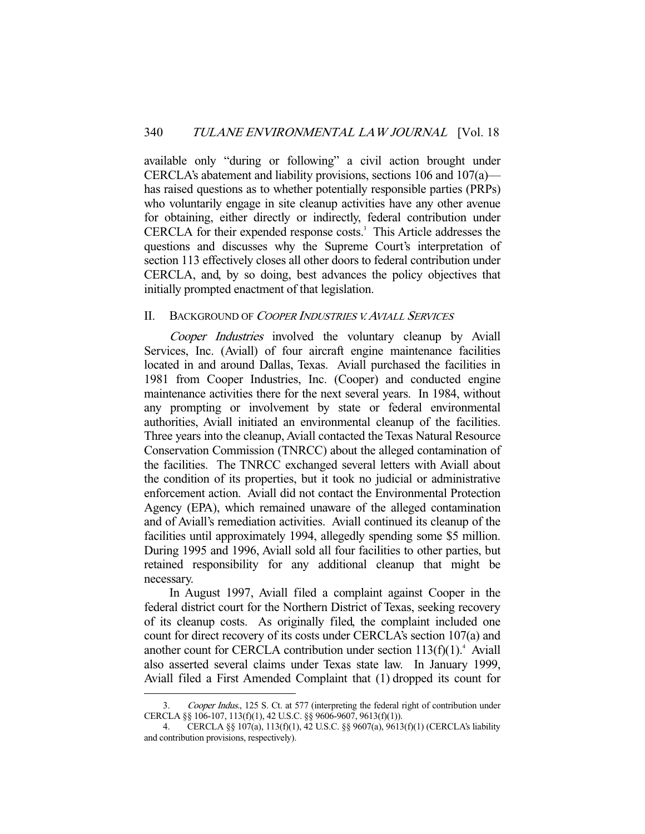available only "during or following" a civil action brought under CERCLA's abatement and liability provisions, sections 106 and 107(a) has raised questions as to whether potentially responsible parties (PRPs) who voluntarily engage in site cleanup activities have any other avenue for obtaining, either directly or indirectly, federal contribution under CERCLA for their expended response costs.<sup>3</sup> This Article addresses the questions and discusses why the Supreme Court's interpretation of section 113 effectively closes all other doors to federal contribution under CERCLA, and, by so doing, best advances the policy objectives that initially prompted enactment of that legislation.

#### II. BACKGROUND OF COOPER INDUSTRIES V. AVIALL SERVICES

Cooper Industries involved the voluntary cleanup by Aviall Services, Inc. (Aviall) of four aircraft engine maintenance facilities located in and around Dallas, Texas. Aviall purchased the facilities in 1981 from Cooper Industries, Inc. (Cooper) and conducted engine maintenance activities there for the next several years. In 1984, without any prompting or involvement by state or federal environmental authorities, Aviall initiated an environmental cleanup of the facilities. Three years into the cleanup, Aviall contacted the Texas Natural Resource Conservation Commission (TNRCC) about the alleged contamination of the facilities. The TNRCC exchanged several letters with Aviall about the condition of its properties, but it took no judicial or administrative enforcement action. Aviall did not contact the Environmental Protection Agency (EPA), which remained unaware of the alleged contamination and of Aviall's remediation activities. Aviall continued its cleanup of the facilities until approximately 1994, allegedly spending some \$5 million. During 1995 and 1996, Aviall sold all four facilities to other parties, but retained responsibility for any additional cleanup that might be necessary.

 In August 1997, Aviall filed a complaint against Cooper in the federal district court for the Northern District of Texas, seeking recovery of its cleanup costs. As originally filed, the complaint included one count for direct recovery of its costs under CERCLA's section 107(a) and another count for CERCLA contribution under section  $113(f)(1)$ .<sup>4</sup> Aviall also asserted several claims under Texas state law. In January 1999, Aviall filed a First Amended Complaint that (1) dropped its count for

<sup>3.</sup> Cooper Indus., 125 S. Ct. at 577 (interpreting the federal right of contribution under CERCLA §§ 106-107, 113(f)(1), 42 U.S.C. §§ 9606-9607, 9613(f)(1)).

 <sup>4.</sup> CERCLA §§ 107(a), 113(f)(1), 42 U.S.C. §§ 9607(a), 9613(f)(1) (CERCLA's liability and contribution provisions, respectively).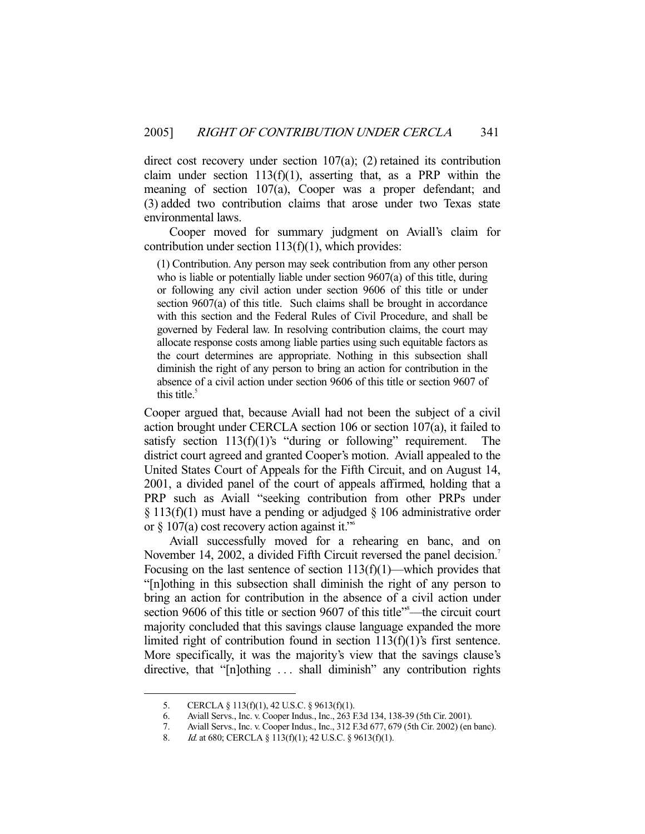direct cost recovery under section 107(a); (2) retained its contribution claim under section  $113(f)(1)$ , asserting that, as a PRP within the meaning of section 107(a), Cooper was a proper defendant; and (3) added two contribution claims that arose under two Texas state environmental laws.

 Cooper moved for summary judgment on Aviall's claim for contribution under section 113(f)(1), which provides:

(1) Contribution. Any person may seek contribution from any other person who is liable or potentially liable under section 9607(a) of this title, during or following any civil action under section 9606 of this title or under section 9607(a) of this title. Such claims shall be brought in accordance with this section and the Federal Rules of Civil Procedure, and shall be governed by Federal law. In resolving contribution claims, the court may allocate response costs among liable parties using such equitable factors as the court determines are appropriate. Nothing in this subsection shall diminish the right of any person to bring an action for contribution in the absence of a civil action under section 9606 of this title or section 9607 of this title. $5$ 

Cooper argued that, because Aviall had not been the subject of a civil action brought under CERCLA section 106 or section 107(a), it failed to satisfy section  $113(f)(1)$ 's "during or following" requirement. The district court agreed and granted Cooper's motion. Aviall appealed to the United States Court of Appeals for the Fifth Circuit, and on August 14, 2001, a divided panel of the court of appeals affirmed, holding that a PRP such as Aviall "seeking contribution from other PRPs under  $\S 113(f)(1)$  must have a pending or adjudged  $\S 106$  administrative order or § 107(a) cost recovery action against it."6

 Aviall successfully moved for a rehearing en banc, and on November 14, 2002, a divided Fifth Circuit reversed the panel decision.<sup>7</sup> Focusing on the last sentence of section  $113(f)(1)$ —which provides that "[n]othing in this subsection shall diminish the right of any person to bring an action for contribution in the absence of a civil action under section 9606 of this title or section 9607 of this title"<sup>8</sup>—the circuit court majority concluded that this savings clause language expanded the more limited right of contribution found in section 113(f)(1)'s first sentence. More specifically, it was the majority's view that the savings clause's directive, that "[n]othing . . . shall diminish" any contribution rights

 <sup>5.</sup> CERCLA § 113(f)(1), 42 U.S.C. § 9613(f)(1).

 <sup>6.</sup> Aviall Servs., Inc. v. Cooper Indus., Inc., 263 F.3d 134, 138-39 (5th Cir. 2001).

 <sup>7.</sup> Aviall Servs., Inc. v. Cooper Indus., Inc., 312 F.3d 677, 679 (5th Cir. 2002) (en banc).

<sup>8.</sup> *Id.* at 680; CERCLA § 113(f)(1); 42 U.S.C. § 9613(f)(1).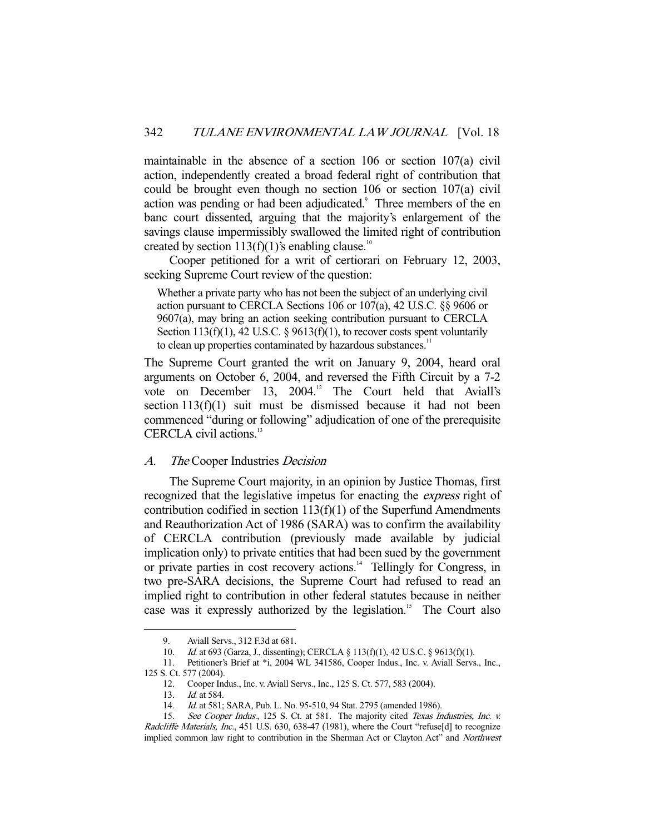maintainable in the absence of a section 106 or section 107(a) civil action, independently created a broad federal right of contribution that could be brought even though no section 106 or section 107(a) civil action was pending or had been adjudicated.<sup>9</sup> Three members of the en banc court dissented, arguing that the majority's enlargement of the savings clause impermissibly swallowed the limited right of contribution created by section 113(f)(1)'s enabling clause.<sup>10</sup>

 Cooper petitioned for a writ of certiorari on February 12, 2003, seeking Supreme Court review of the question:

Whether a private party who has not been the subject of an underlying civil action pursuant to CERCLA Sections 106 or 107(a), 42 U.S.C. §§ 9606 or 9607(a), may bring an action seeking contribution pursuant to CERCLA Section 113(f)(1), 42 U.S.C.  $\S$  9613(f)(1), to recover costs spent voluntarily to clean up properties contaminated by hazardous substances.<sup>11</sup>

The Supreme Court granted the writ on January 9, 2004, heard oral arguments on October 6, 2004, and reversed the Fifth Circuit by a 7-2 vote on December 13, 2004.<sup>12</sup> The Court held that Aviall's section 113(f)(1) suit must be dismissed because it had not been commenced "during or following" adjudication of one of the prerequisite CERCLA civil actions.<sup>13</sup>

#### A. The Cooper Industries Decision

 The Supreme Court majority, in an opinion by Justice Thomas, first recognized that the legislative impetus for enacting the *express* right of contribution codified in section 113(f)(1) of the Superfund Amendments and Reauthorization Act of 1986 (SARA) was to confirm the availability of CERCLA contribution (previously made available by judicial implication only) to private entities that had been sued by the government or private parties in cost recovery actions.<sup>14</sup> Tellingly for Congress, in two pre-SARA decisions, the Supreme Court had refused to read an implied right to contribution in other federal statutes because in neither case was it expressly authorized by the legislation.<sup>15</sup> The Court also

 <sup>9.</sup> Aviall Servs., 312 F.3d at 681.

 <sup>10.</sup> Id. at 693 (Garza, J., dissenting); CERCLA § 113(f)(1), 42 U.S.C. § 9613(f)(1).

 <sup>11.</sup> Petitioner's Brief at \*i, 2004 WL 341586, Cooper Indus., Inc. v. Aviall Servs., Inc., 125 S. Ct. 577 (2004).

 <sup>12.</sup> Cooper Indus., Inc. v. Aviall Servs., Inc., 125 S. Ct. 577, 583 (2004).

<sup>13.</sup> *Id.* at 584.

 <sup>14.</sup> Id. at 581; SARA, Pub. L. No. 95-510, 94 Stat. 2795 (amended 1986).

<sup>15.</sup> See Cooper Indus., 125 S. Ct. at 581. The majority cited Texas Industries, Inc. v. Radcliffe Materials, Inc., 451 U.S. 630, 638-47 (1981), where the Court "refuse[d] to recognize implied common law right to contribution in the Sherman Act or Clayton Act" and Northwest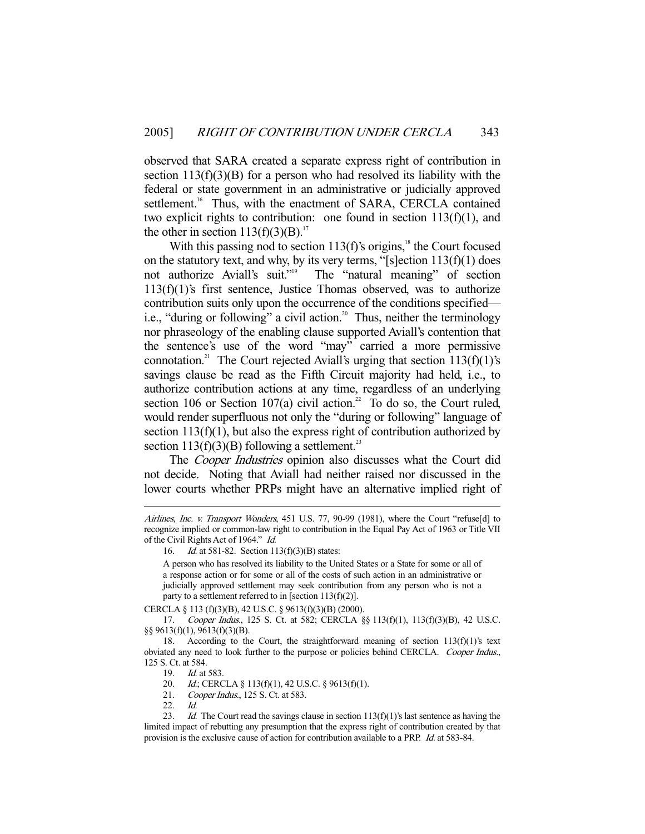observed that SARA created a separate express right of contribution in section  $113(f)(3)(B)$  for a person who had resolved its liability with the federal or state government in an administrative or judicially approved settlement.<sup>16</sup> Thus, with the enactment of SARA, CERCLA contained two explicit rights to contribution: one found in section  $113(f)(1)$ , and the other in section  $113(f)(3)(B)$ .<sup>17</sup>

With this passing nod to section  $113(f)$ 's origins,<sup>18</sup> the Court focused on the statutory text, and why, by its very terms, "[s]ection  $113(f)(1)$  does not authorize Aviall's suit."<sup>9</sup> The "natural meaning" of section The "natural meaning" of section  $113(f)(1)$ 's first sentence, Justice Thomas observed, was to authorize contribution suits only upon the occurrence of the conditions specified i.e., "during or following" a civil action.<sup>20</sup> Thus, neither the terminology nor phraseology of the enabling clause supported Aviall's contention that the sentence's use of the word "may" carried a more permissive connotation.<sup>21</sup> The Court rejected Aviall's urging that section  $113(f)(1)$ 's savings clause be read as the Fifth Circuit majority had held, i.e., to authorize contribution actions at any time, regardless of an underlying section 106 or Section 107(a) civil action.<sup>22</sup> To do so, the Court ruled, would render superfluous not only the "during or following" language of section  $113(f)(1)$ , but also the express right of contribution authorized by section  $113(f)(3)(B)$  following a settlement.<sup>23</sup>

The *Cooper Industries* opinion also discusses what the Court did not decide. Noting that Aviall had neither raised nor discussed in the lower courts whether PRPs might have an alternative implied right of

16. *Id.* at 581-82. Section 113(f)(3)(B) states:

A person who has resolved its liability to the United States or a State for some or all of a response action or for some or all of the costs of such action in an administrative or judicially approved settlement may seek contribution from any person who is not a party to a settlement referred to in [section  $113(f)(2)$ ].

CERCLA § 113 (f)(3)(B), 42 U.S.C. § 9613(f)(3)(B) (2000).

 17. Cooper Indus., 125 S. Ct. at 582; CERCLA §§ 113(f)(1), 113(f)(3)(B), 42 U.S.C. §§ 9613(f)(1), 9613(f)(3)(B).

20. *Id.*; CERCLA § 113(f)(1), 42 U.S.C. § 9613(f)(1).

Airlines, Inc. v. Transport Wonders, 451 U.S. 77, 90-99 (1981), where the Court "refuse[d] to recognize implied or common-law right to contribution in the Equal Pay Act of 1963 or Title VII of the Civil Rights Act of 1964." Id.

<sup>18.</sup> According to the Court, the straightforward meaning of section  $113(f)(1)$ 's text obviated any need to look further to the purpose or policies behind CERCLA. Cooper Indus., 125 S. Ct. at 584.

 <sup>19.</sup> Id. at 583.

<sup>21.</sup> Cooper Indus., 125 S. Ct. at 583.

 <sup>22.</sup> Id.

<sup>23.</sup> Id. The Court read the savings clause in section  $113(f)(1)$ 's last sentence as having the limited impact of rebutting any presumption that the express right of contribution created by that provision is the exclusive cause of action for contribution available to a PRP. Id. at 583-84.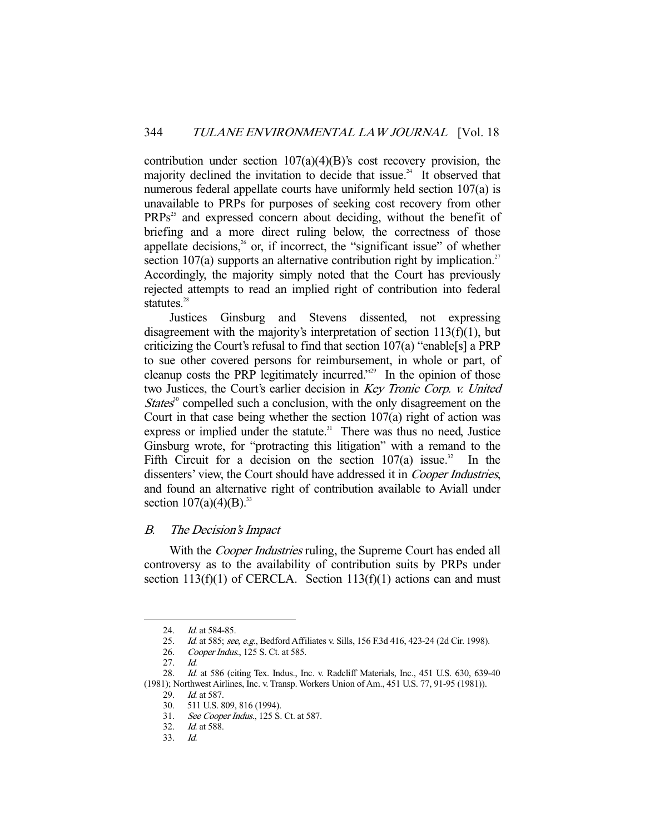contribution under section 107(a)(4)(B)'s cost recovery provision, the majority declined the invitation to decide that issue.<sup>24</sup> It observed that numerous federal appellate courts have uniformly held section 107(a) is unavailable to PRPs for purposes of seeking cost recovery from other  $PRPs<sup>25</sup>$  and expressed concern about deciding, without the benefit of briefing and a more direct ruling below, the correctness of those appellate decisions, $26$  or, if incorrect, the "significant issue" of whether section 107(a) supports an alternative contribution right by implication.<sup>27</sup> Accordingly, the majority simply noted that the Court has previously rejected attempts to read an implied right of contribution into federal statutes.<sup>28</sup>

 Justices Ginsburg and Stevens dissented, not expressing disagreement with the majority's interpretation of section 113(f)(1), but criticizing the Court's refusal to find that section 107(a) "enable[s] a PRP to sue other covered persons for reimbursement, in whole or part, of cleanup costs the PRP legitimately incurred."29 In the opinion of those two Justices, the Court's earlier decision in Key Tronic Corp. v. United *States*<sup>30</sup> compelled such a conclusion, with the only disagreement on the Court in that case being whether the section  $107(a)$  right of action was express or implied under the statute.<sup>31</sup> There was thus no need, Justice Ginsburg wrote, for "protracting this litigation" with a remand to the Fifth Circuit for a decision on the section  $107(a)$  issue.<sup>32</sup> In the dissenters' view, the Court should have addressed it in *Cooper Industries*, and found an alternative right of contribution available to Aviall under section  $107(a)(4)(B)^{33}$ 

### B. The Decision's Impact

With the *Cooper Industries* ruling, the Supreme Court has ended all controversy as to the availability of contribution suits by PRPs under section  $113(f)(1)$  of CERCLA. Section  $113(f)(1)$  actions can and must

<sup>24.</sup> *Id.* at 584-85.

<sup>25.</sup> Id. at 585; see, e.g., Bedford Affiliates v. Sills, 156 F.3d 416, 423-24 (2d Cir. 1998).

 <sup>26.</sup> Cooper Indus., 125 S. Ct. at 585.

 <sup>27.</sup> Id.

 <sup>28.</sup> Id. at 586 (citing Tex. Indus., Inc. v. Radcliff Materials, Inc., 451 U.S. 630, 639-40 (1981); Northwest Airlines, Inc. v. Transp. Workers Union of Am., 451 U.S. 77, 91-95 (1981)).

<sup>29.</sup> *Id.* at 587.

 <sup>30. 511</sup> U.S. 809, 816 (1994).

<sup>31.</sup> See Cooper Indus., 125 S. Ct. at 587.

 <sup>32.</sup> Id. at 588.

 <sup>33.</sup> Id.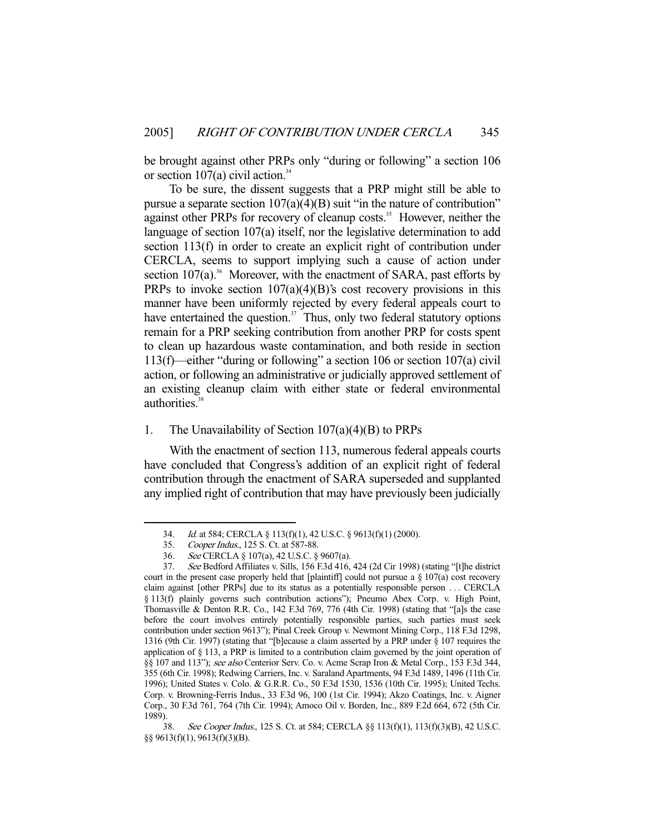be brought against other PRPs only "during or following" a section 106 or section  $107(a)$  civil action.<sup>34</sup>

 To be sure, the dissent suggests that a PRP might still be able to pursue a separate section  $107(a)(4)(B)$  suit "in the nature of contribution" against other PRPs for recovery of cleanup costs.<sup>35</sup> However, neither the language of section 107(a) itself, nor the legislative determination to add section 113(f) in order to create an explicit right of contribution under CERCLA, seems to support implying such a cause of action under section  $107(a)$ <sup>36</sup> Moreover, with the enactment of SARA, past efforts by PRPs to invoke section  $107(a)(4)(B)$ 's cost recovery provisions in this manner have been uniformly rejected by every federal appeals court to have entertained the question.<sup>37</sup> Thus, only two federal statutory options remain for a PRP seeking contribution from another PRP for costs spent to clean up hazardous waste contamination, and both reside in section 113(f)—either "during or following" a section 106 or section 107(a) civil action, or following an administrative or judicially approved settlement of an existing cleanup claim with either state or federal environmental authorities.<sup>38</sup>

## 1. The Unavailability of Section 107(a)(4)(B) to PRPs

 With the enactment of section 113, numerous federal appeals courts have concluded that Congress's addition of an explicit right of federal contribution through the enactment of SARA superseded and supplanted any implied right of contribution that may have previously been judicially

 <sup>34.</sup> Id. at 584; CERCLA § 113(f)(1), 42 U.S.C. § 9613(f)(1) (2000).

 <sup>35.</sup> Cooper Indus., 125 S. Ct. at 587-88.

 <sup>36.</sup> See CERCLA § 107(a), 42 U.S.C. § 9607(a).

 <sup>37.</sup> See Bedford Affiliates v. Sills, 156 F.3d 416, 424 (2d Cir 1998) (stating "[t]he district court in the present case properly held that [plaintiff] could not pursue a  $\S$  107(a) cost recovery claim against [other PRPs] due to its status as a potentially responsible person . . . CERCLA § 113(f) plainly governs such contribution actions"); Pneumo Abex Corp. v. High Point, Thomasville & Denton R.R. Co., 142 F.3d 769, 776 (4th Cir. 1998) (stating that "[a]s the case before the court involves entirely potentially responsible parties, such parties must seek contribution under section 9613"); Pinal Creek Group v. Newmont Mining Corp., 118 F.3d 1298, 1316 (9th Cir. 1997) (stating that "[b]ecause a claim asserted by a PRP under § 107 requires the application of  $\S$  113, a PRP is limited to a contribution claim governed by the joint operation of §§ 107 and 113"); see also Centerior Serv. Co. v. Acme Scrap Iron & Metal Corp., 153 F.3d 344, 355 (6th Cir. 1998); Redwing Carriers, Inc. v. Saraland Apartments, 94 F.3d 1489, 1496 (11th Cir. 1996); United States v. Colo. & G.R.R. Co., 50 F.3d 1530, 1536 (10th Cir. 1995); United Techs. Corp. v. Browning-Ferris Indus., 33 F.3d 96, 100 (1st Cir. 1994); Akzo Coatings, Inc. v. Aigner Corp., 30 F.3d 761, 764 (7th Cir. 1994); Amoco Oil v. Borden, Inc., 889 F.2d 664, 672 (5th Cir. 1989).

 <sup>38.</sup> See Cooper Indus., 125 S. Ct. at 584; CERCLA §§ 113(f)(1), 113(f)(3)(B), 42 U.S.C. §§ 9613(f)(1), 9613(f)(3)(B).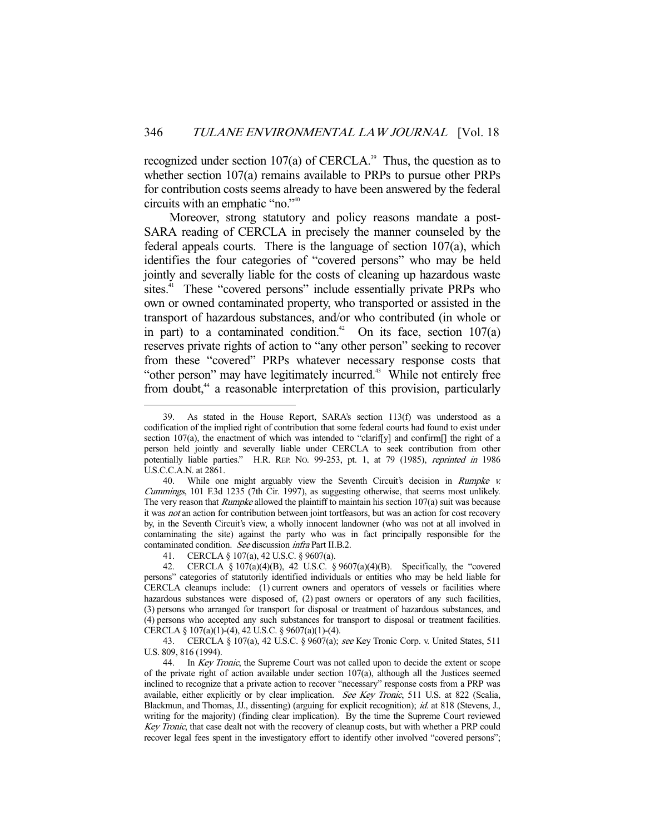recognized under section 107(a) of CERCLA.<sup>39</sup> Thus, the question as to whether section 107(a) remains available to PRPs to pursue other PRPs for contribution costs seems already to have been answered by the federal circuits with an emphatic "no."40

 Moreover, strong statutory and policy reasons mandate a post-SARA reading of CERCLA in precisely the manner counseled by the federal appeals courts. There is the language of section 107(a), which identifies the four categories of "covered persons" who may be held jointly and severally liable for the costs of cleaning up hazardous waste sites.<sup>41</sup> These "covered persons" include essentially private PRPs who own or owned contaminated property, who transported or assisted in the transport of hazardous substances, and/or who contributed (in whole or in part) to a contaminated condition.<sup>42</sup> On its face, section  $107(a)$ reserves private rights of action to "any other person" seeking to recover from these "covered" PRPs whatever necessary response costs that "other person" may have legitimately incurred.<sup>43</sup> While not entirely free from doubt,<sup>44</sup> a reasonable interpretation of this provision, particularly

41. CERCLA § 107(a), 42 U.S.C. § 9607(a).

 <sup>39.</sup> As stated in the House Report, SARA's section 113(f) was understood as a codification of the implied right of contribution that some federal courts had found to exist under section 107(a), the enactment of which was intended to "clarif[y] and confirm[] the right of a person held jointly and severally liable under CERCLA to seek contribution from other potentially liable parties." H.R. REP. No. 99-253, pt. 1, at 79 (1985), reprinted in 1986 U.S.C.C.A.N. at 2861.

<sup>40.</sup> While one might arguably view the Seventh Circuit's decision in Rumpke v. Cummings, 101 F.3d 1235 (7th Cir. 1997), as suggesting otherwise, that seems most unlikely. The very reason that *Rumpke* allowed the plaintiff to maintain his section 107(a) suit was because it was *not* an action for contribution between joint tortfeasors, but was an action for cost recovery by, in the Seventh Circuit's view, a wholly innocent landowner (who was not at all involved in contaminating the site) against the party who was in fact principally responsible for the contaminated condition. See discussion infra Part II.B.2.

<sup>42.</sup> CERCLA  $\S 107(a)(4)(B)$ , 42 U.S.C.  $\S 9607(a)(4)(B)$ . Specifically, the "covered" persons" categories of statutorily identified individuals or entities who may be held liable for CERCLA cleanups include: (1) current owners and operators of vessels or facilities where hazardous substances were disposed of, (2) past owners or operators of any such facilities, (3) persons who arranged for transport for disposal or treatment of hazardous substances, and (4) persons who accepted any such substances for transport to disposal or treatment facilities. CERCLA § 107(a)(1)-(4), 42 U.S.C. § 9607(a)(1)-(4).

<sup>43.</sup> CERCLA § 107(a), 42 U.S.C. § 9607(a); see Key Tronic Corp. v. United States, 511 U.S. 809, 816 (1994).

<sup>44.</sup> In Key Tronic, the Supreme Court was not called upon to decide the extent or scope of the private right of action available under section 107(a), although all the Justices seemed inclined to recognize that a private action to recover "necessary" response costs from a PRP was available, either explicitly or by clear implication. See Key Tronic, 511 U.S. at 822 (Scalia, Blackmun, and Thomas, JJ., dissenting) (arguing for explicit recognition); id. at 818 (Stevens, J., writing for the majority) (finding clear implication). By the time the Supreme Court reviewed Key Tronic, that case dealt not with the recovery of cleanup costs, but with whether a PRP could recover legal fees spent in the investigatory effort to identify other involved "covered persons";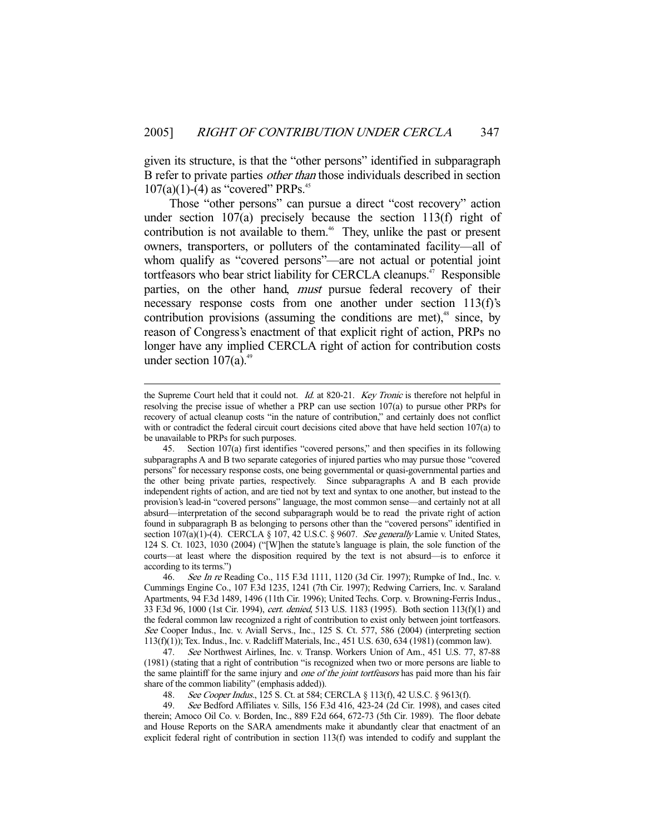given its structure, is that the "other persons" identified in subparagraph B refer to private parties other than those individuals described in section  $107(a)(1)$ -(4) as "covered" PRPs.<sup>45</sup>

 Those "other persons" can pursue a direct "cost recovery" action under section 107(a) precisely because the section 113(f) right of contribution is not available to them.<sup>46</sup> They, unlike the past or present owners, transporters, or polluters of the contaminated facility—all of whom qualify as "covered persons"—are not actual or potential joint tortfeasors who bear strict liability for CERCLA cleanups.<sup>47</sup> Responsible parties, on the other hand, *must* pursue federal recovery of their necessary response costs from one another under section 113(f)'s contribution provisions (assuming the conditions are met), $48$  since, by reason of Congress's enactment of that explicit right of action, PRPs no longer have any implied CERCLA right of action for contribution costs under section  $107(a)$ .<sup>49</sup>

-

 47. See Northwest Airlines, Inc. v. Transp. Workers Union of Am., 451 U.S. 77, 87-88 (1981) (stating that a right of contribution "is recognized when two or more persons are liable to the same plaintiff for the same injury and one of the joint tortfeasors has paid more than his fair share of the common liability" (emphasis added)).

48. See Cooper Indus., 125 S. Ct. at 584; CERCLA § 113(f), 42 U.S.C. § 9613(f).

 49. See Bedford Affiliates v. Sills, 156 F.3d 416, 423-24 (2d Cir. 1998), and cases cited therein; Amoco Oil Co. v. Borden, Inc., 889 F.2d 664, 672-73 (5th Cir. 1989). The floor debate and House Reports on the SARA amendments make it abundantly clear that enactment of an explicit federal right of contribution in section 113(f) was intended to codify and supplant the

the Supreme Court held that it could not. Id. at 820-21. Key Tronic is therefore not helpful in resolving the precise issue of whether a PRP can use section 107(a) to pursue other PRPs for recovery of actual cleanup costs "in the nature of contribution," and certainly does not conflict with or contradict the federal circuit court decisions cited above that have held section 107(a) to be unavailable to PRPs for such purposes.

 <sup>45.</sup> Section 107(a) first identifies "covered persons," and then specifies in its following subparagraphs A and B two separate categories of injured parties who may pursue those "covered persons" for necessary response costs, one being governmental or quasi-governmental parties and the other being private parties, respectively. Since subparagraphs A and B each provide independent rights of action, and are tied not by text and syntax to one another, but instead to the provision's lead-in "covered persons" language, the most common sense—and certainly not at all absurd—interpretation of the second subparagraph would be to read the private right of action found in subparagraph B as belonging to persons other than the "covered persons" identified in section 107(a)(1)-(4). CERCLA § 107, 42 U.S.C. § 9607. See generally Lamie v. United States, 124 S. Ct. 1023, 1030 (2004) ("[W]hen the statute's language is plain, the sole function of the courts—at least where the disposition required by the text is not absurd—is to enforce it according to its terms.")

<sup>46.</sup> See In re Reading Co., 115 F.3d 1111, 1120 (3d Cir. 1997); Rumpke of Ind., Inc. v. Cummings Engine Co., 107 F.3d 1235, 1241 (7th Cir. 1997); Redwing Carriers, Inc. v. Saraland Apartments, 94 F.3d 1489, 1496 (11th Cir. 1996); United Techs. Corp. v. Browning-Ferris Indus., 33 F.3d 96, 1000 (1st Cir. 1994), cert. denied, 513 U.S. 1183 (1995). Both section 113(f)(1) and the federal common law recognized a right of contribution to exist only between joint tortfeasors. See Cooper Indus., Inc. v. Aviall Servs., Inc., 125 S. Ct. 577, 586 (2004) (interpreting section 113(f)(1)); Tex. Indus., Inc. v. Radcliff Materials, Inc., 451 U.S. 630, 634 (1981) (common law).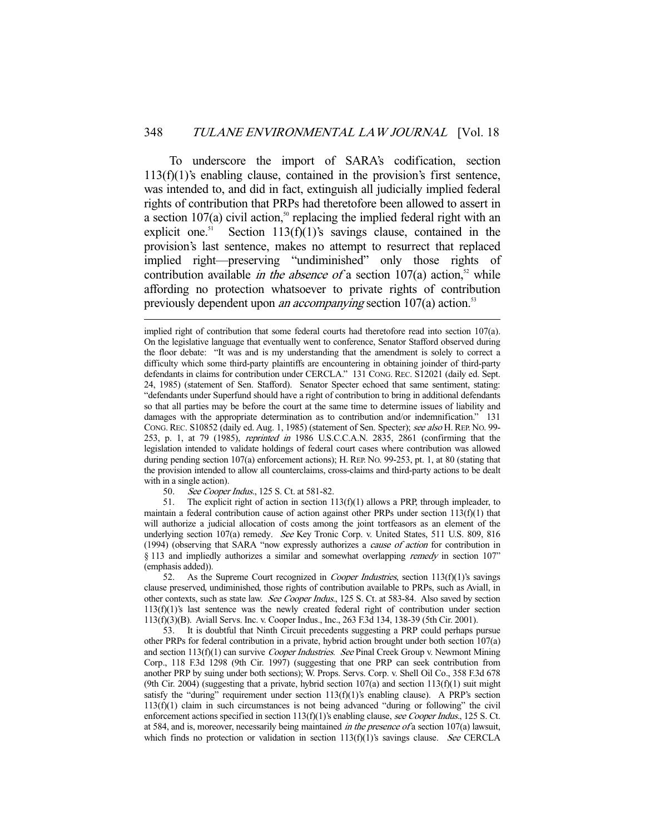To underscore the import of SARA's codification, section  $113(f)(1)$ 's enabling clause, contained in the provision's first sentence, was intended to, and did in fact, extinguish all judicially implied federal rights of contribution that PRPs had theretofore been allowed to assert in a section 107(a) civil action,<sup>50</sup> replacing the implied federal right with an explicit one.<sup>51</sup> Section 113(f)(1)'s savings clause, contained in the provision's last sentence, makes no attempt to resurrect that replaced implied right—preserving "undiminished" only those rights of contribution available *in the absence of* a section  $107(a)$  action,<sup>52</sup> while affording no protection whatsoever to private rights of contribution previously dependent upon *an accompanying* section  $107(a)$  action.<sup>53</sup>

50. See Cooper Indus., 125 S. Ct. at 581-82.

-

 51. The explicit right of action in section 113(f)(1) allows a PRP, through impleader, to maintain a federal contribution cause of action against other PRPs under section  $113(f)(1)$  that will authorize a judicial allocation of costs among the joint tortfeasors as an element of the underlying section 107(a) remedy. See Key Tronic Corp. v. United States, 511 U.S. 809, 816 (1994) (observing that SARA "now expressly authorizes a cause of action for contribution in § 113 and impliedly authorizes a similar and somewhat overlapping *remedy* in section 107" (emphasis added)).

52. As the Supreme Court recognized in *Cooper Industries*, section  $113(f)(1)$ 's savings clause preserved, undiminished, those rights of contribution available to PRPs, such as Aviall, in other contexts, such as state law. See Cooper Indus., 125 S. Ct. at 583-84. Also saved by section 113(f)(1)'s last sentence was the newly created federal right of contribution under section 113(f)(3)(B). Aviall Servs. Inc. v. Cooper Indus., Inc., 263 F.3d 134, 138-39 (5th Cir. 2001).

 53. It is doubtful that Ninth Circuit precedents suggesting a PRP could perhaps pursue other PRPs for federal contribution in a private, hybrid action brought under both section 107(a) and section  $113(f)(1)$  can survive *Cooper Industries. See* Pinal Creek Group v. Newmont Mining Corp., 118 F.3d 1298 (9th Cir. 1997) (suggesting that one PRP can seek contribution from another PRP by suing under both sections); W. Props. Servs. Corp. v. Shell Oil Co., 358 F.3d 678 (9th Cir. 2004) (suggesting that a private, hybrid section  $107(a)$  and section  $113(f)(1)$  suit might satisfy the "during" requirement under section  $113(f)(1)$ 's enabling clause). A PRP's section 113(f)(1) claim in such circumstances is not being advanced "during or following" the civil enforcement actions specified in section  $113(f)(1)$ 's enabling clause, see Cooper Indus., 125 S. Ct. at 584, and is, moreover, necessarily being maintained *in the presence of* a section 107(a) lawsuit, which finds no protection or validation in section  $113(f)(1)$ 's savings clause. See CERCLA

implied right of contribution that some federal courts had theretofore read into section 107(a). On the legislative language that eventually went to conference, Senator Stafford observed during the floor debate: "It was and is my understanding that the amendment is solely to correct a difficulty which some third-party plaintiffs are encountering in obtaining joinder of third-party defendants in claims for contribution under CERCLA." 131 CONG. REC. S12021 (daily ed. Sept. 24, 1985) (statement of Sen. Stafford). Senator Specter echoed that same sentiment, stating: "defendants under Superfund should have a right of contribution to bring in additional defendants so that all parties may be before the court at the same time to determine issues of liability and damages with the appropriate determination as to contribution and/or indemnification." 131 CONG. REC. S10852 (daily ed. Aug. 1, 1985) (statement of Sen. Specter); see also H. REP. No. 99-253, p. 1, at 79 (1985), reprinted in 1986 U.S.C.C.A.N. 2835, 2861 (confirming that the legislation intended to validate holdings of federal court cases where contribution was allowed during pending section 107(a) enforcement actions); H. REP. No. 99-253, pt. 1, at 80 (stating that the provision intended to allow all counterclaims, cross-claims and third-party actions to be dealt with in a single action).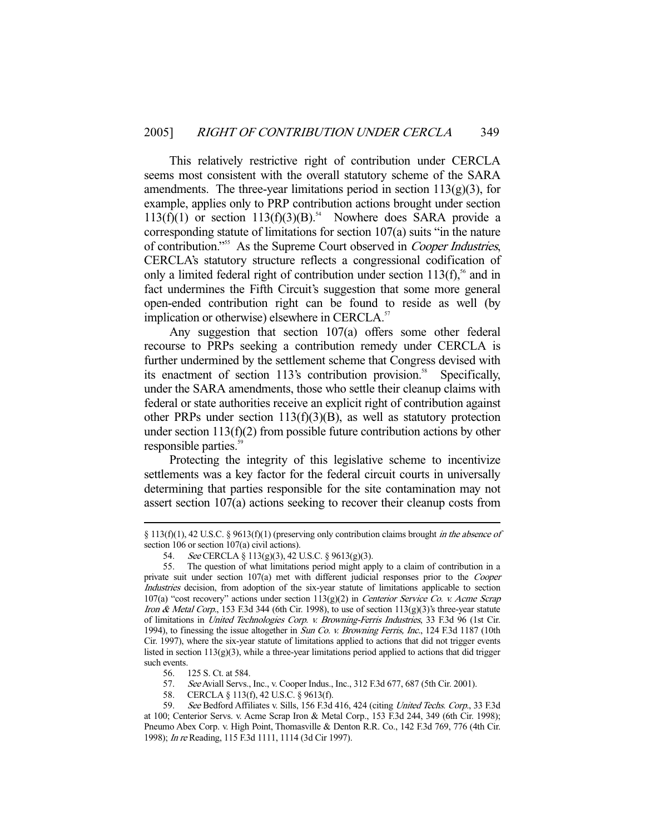This relatively restrictive right of contribution under CERCLA seems most consistent with the overall statutory scheme of the SARA amendments. The three-year limitations period in section  $113(g)(3)$ , for example, applies only to PRP contribution actions brought under section  $113(f)(1)$  or section  $113(f)(3)(B)$ .<sup>54</sup> Nowhere does SARA provide a corresponding statute of limitations for section 107(a) suits "in the nature of contribution."<sup>55</sup> As the Supreme Court observed in *Cooper Industries*, CERCLA's statutory structure reflects a congressional codification of only a limited federal right of contribution under section  $113(f)$ ,<sup>56</sup> and in fact undermines the Fifth Circuit's suggestion that some more general open-ended contribution right can be found to reside as well (by implication or otherwise) elsewhere in CERCLA.<sup>57</sup>

 Any suggestion that section 107(a) offers some other federal recourse to PRPs seeking a contribution remedy under CERCLA is further undermined by the settlement scheme that Congress devised with its enactment of section  $113$ 's contribution provision.<sup>58</sup> Specifically, under the SARA amendments, those who settle their cleanup claims with federal or state authorities receive an explicit right of contribution against other PRPs under section  $113(f)(3)(B)$ , as well as statutory protection under section  $113(f)(2)$  from possible future contribution actions by other responsible parties.<sup>59</sup>

 Protecting the integrity of this legislative scheme to incentivize settlements was a key factor for the federal circuit courts in universally determining that parties responsible for the site contamination may not assert section 107(a) actions seeking to recover their cleanup costs from

- 57. See Aviall Servs., Inc., v. Cooper Indus., Inc., 312 F.3d 677, 687 (5th Cir. 2001).
- 58. CERCLA § 113(f), 42 U.S.C. § 9613(f).

<sup>§ 113(</sup>f)(1), 42 U.S.C. § 9613(f)(1) (preserving only contribution claims brought *in the absence of* section 106 or section 107(a) civil actions).

 <sup>54.</sup> See CERCLA § 113(g)(3), 42 U.S.C. § 9613(g)(3).

 <sup>55.</sup> The question of what limitations period might apply to a claim of contribution in a private suit under section 107(a) met with different judicial responses prior to the Cooper Industries decision, from adoption of the six-year statute of limitations applicable to section 107(a) "cost recovery" actions under section  $113(g)(2)$  in *Centerior Service Co. v. Acme Scrap* Iron & Metal Corp., 153 F.3d 344 (6th Cir. 1998), to use of section  $113(g)(3)$ 's three-year statute of limitations in United Technologies Corp. v. Browning-Ferris Industries, 33 F.3d 96 (1st Cir. 1994), to finessing the issue altogether in Sun Co. v. Browning Ferris, Inc., 124 F.3d 1187 (10th Cir. 1997), where the six-year statute of limitations applied to actions that did not trigger events listed in section  $113(g)(3)$ , while a three-year limitations period applied to actions that did trigger such events.

 <sup>56. 125</sup> S. Ct. at 584.

<sup>59.</sup> See Bedford Affiliates v. Sills, 156 F.3d 416, 424 (citing United Techs. Corp., 33 F.3d at 100; Centerior Servs. v. Acme Scrap Iron & Metal Corp., 153 F.3d 244, 349 (6th Cir. 1998); Pneumo Abex Corp. v. High Point, Thomasville & Denton R.R. Co., 142 F.3d 769, 776 (4th Cir. 1998); In re Reading, 115 F.3d 1111, 1114 (3d Cir 1997).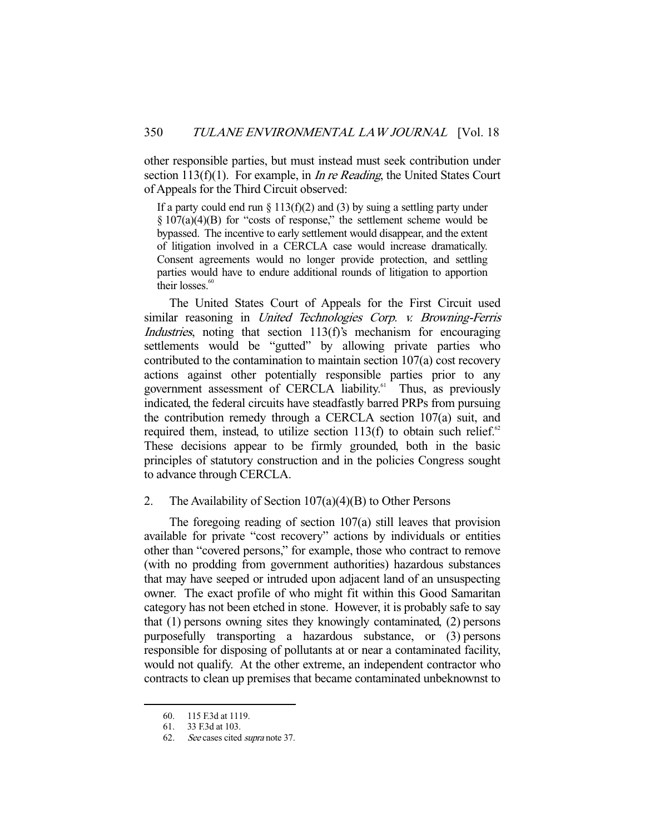other responsible parties, but must instead must seek contribution under section 113(f)(1). For example, in *In re Reading*, the United States Court of Appeals for the Third Circuit observed:

If a party could end run  $\S 113(f)(2)$  and (3) by suing a settling party under  $\S 107(a)(4)(B)$  for "costs of response," the settlement scheme would be bypassed. The incentive to early settlement would disappear, and the extent of litigation involved in a CERCLA case would increase dramatically. Consent agreements would no longer provide protection, and settling parties would have to endure additional rounds of litigation to apportion their losses. $60$ 

 The United States Court of Appeals for the First Circuit used similar reasoning in United Technologies Corp. v. Browning-Ferris Industries, noting that section 113(f)'s mechanism for encouraging settlements would be "gutted" by allowing private parties who contributed to the contamination to maintain section 107(a) cost recovery actions against other potentially responsible parties prior to any government assessment of CERCLA liability.<sup>61</sup> Thus, as previously indicated, the federal circuits have steadfastly barred PRPs from pursuing the contribution remedy through a CERCLA section 107(a) suit, and required them, instead, to utilize section  $113(f)$  to obtain such relief.<sup>62</sup> These decisions appear to be firmly grounded, both in the basic principles of statutory construction and in the policies Congress sought to advance through CERCLA.

#### 2. The Availability of Section  $107(a)(4)(B)$  to Other Persons

 The foregoing reading of section 107(a) still leaves that provision available for private "cost recovery" actions by individuals or entities other than "covered persons," for example, those who contract to remove (with no prodding from government authorities) hazardous substances that may have seeped or intruded upon adjacent land of an unsuspecting owner. The exact profile of who might fit within this Good Samaritan category has not been etched in stone. However, it is probably safe to say that (1) persons owning sites they knowingly contaminated, (2) persons purposefully transporting a hazardous substance, or (3) persons responsible for disposing of pollutants at or near a contaminated facility, would not qualify. At the other extreme, an independent contractor who contracts to clean up premises that became contaminated unbeknownst to

 <sup>60. 115</sup> F.3d at 1119.

 <sup>61. 33</sup> F.3d at 103.

 <sup>62.</sup> See cases cited supra note 37.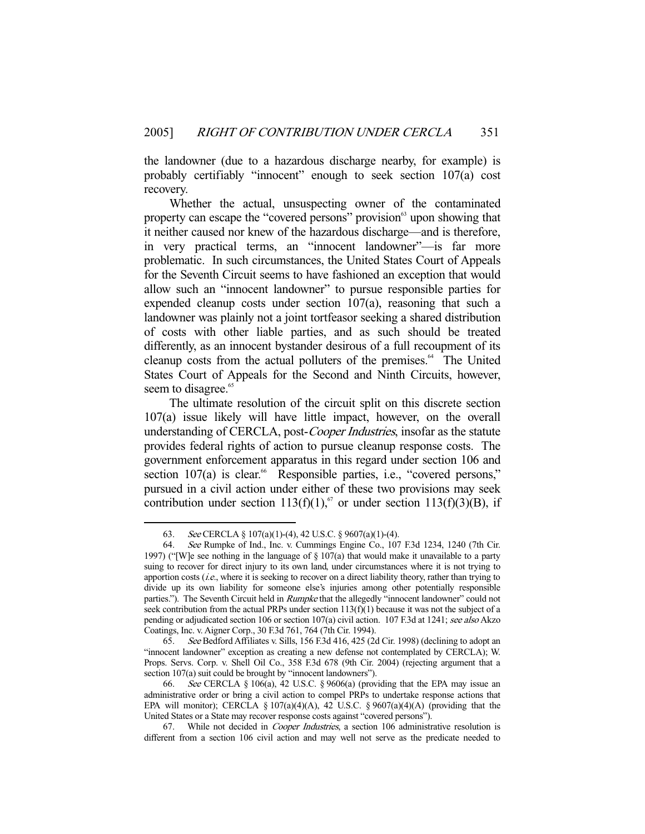the landowner (due to a hazardous discharge nearby, for example) is probably certifiably "innocent" enough to seek section 107(a) cost recovery.

 Whether the actual, unsuspecting owner of the contaminated property can escape the "covered persons" provision upon showing that it neither caused nor knew of the hazardous discharge—and is therefore, in very practical terms, an "innocent landowner"—is far more problematic. In such circumstances, the United States Court of Appeals for the Seventh Circuit seems to have fashioned an exception that would allow such an "innocent landowner" to pursue responsible parties for expended cleanup costs under section 107(a), reasoning that such a landowner was plainly not a joint tortfeasor seeking a shared distribution of costs with other liable parties, and as such should be treated differently, as an innocent bystander desirous of a full recoupment of its cleanup costs from the actual polluters of the premises.<sup>64</sup> The United States Court of Appeals for the Second and Ninth Circuits, however, seem to disagree.<sup>65</sup>

 The ultimate resolution of the circuit split on this discrete section 107(a) issue likely will have little impact, however, on the overall understanding of CERCLA, post-Cooper Industries, insofar as the statute provides federal rights of action to pursue cleanup response costs. The government enforcement apparatus in this regard under section 106 and section  $107(a)$  is clear.<sup>66</sup> Responsible parties, i.e., "covered persons," pursued in a civil action under either of these two provisions may seek contribution under section 113(f)(1),<sup>67</sup> or under section 113(f)(3)(B), if

 <sup>63.</sup> See CERCLA § 107(a)(1)-(4), 42 U.S.C. § 9607(a)(1)-(4).

 <sup>64.</sup> See Rumpke of Ind., Inc. v. Cummings Engine Co., 107 F.3d 1234, 1240 (7th Cir. 1997) ("[W]e see nothing in the language of  $\S 107(a)$  that would make it unavailable to a party suing to recover for direct injury to its own land, under circumstances where it is not trying to apportion costs  $(i.e.,$  where it is seeking to recover on a direct liability theory, rather than trying to divide up its own liability for someone else's injuries among other potentially responsible parties."). The Seventh Circuit held in *Rumpke* that the allegedly "innocent landowner" could not seek contribution from the actual PRPs under section  $113(f)(1)$  because it was not the subject of a pending or adjudicated section 106 or section 107(a) civil action. 107 F.3d at 1241; see also Akzo Coatings, Inc. v. Aigner Corp., 30 F.3d 761, 764 (7th Cir. 1994).

 <sup>65.</sup> See Bedford Affiliates v. Sills, 156 F.3d 416, 425 (2d Cir. 1998) (declining to adopt an "innocent landowner" exception as creating a new defense not contemplated by CERCLA); W. Props. Servs. Corp. v. Shell Oil Co., 358 F.3d 678 (9th Cir. 2004) (rejecting argument that a section 107(a) suit could be brought by "innocent landowners").<br>66. See CERCLA  $\S$  106(a), 42 U.S.C.  $\S$  9606(a) (prov

See CERCLA § 106(a), 42 U.S.C. § 9606(a) (providing that the EPA may issue an administrative order or bring a civil action to compel PRPs to undertake response actions that EPA will monitor); CERCLA §  $107(a)(4)(A)$ , 42 U.S.C. §  $9607(a)(4)(A)$  (providing that the United States or a State may recover response costs against "covered persons").

 <sup>67.</sup> While not decided in Cooper Industries, a section 106 administrative resolution is different from a section 106 civil action and may well not serve as the predicate needed to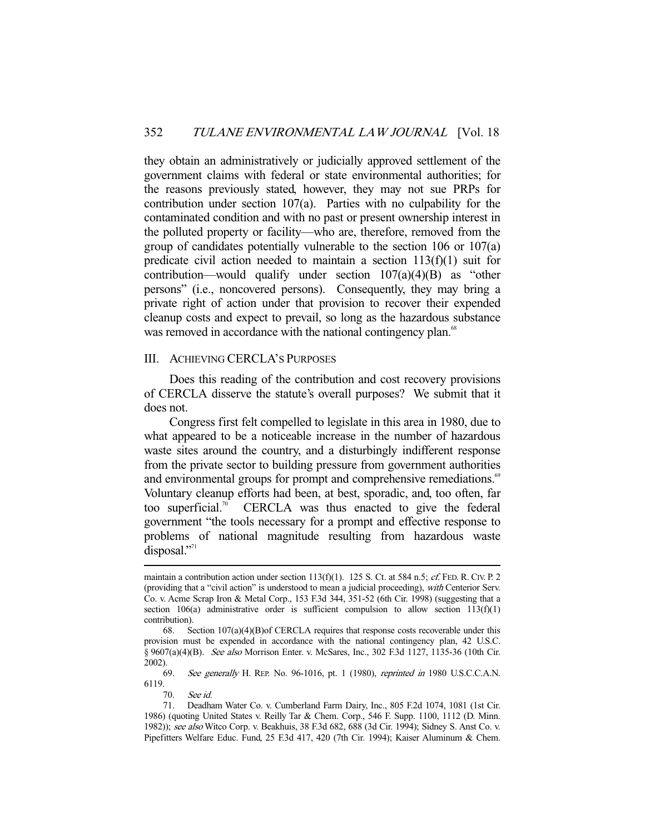they obtain an administratively or judicially approved settlement of the government claims with federal or state environmental authorities; for the reasons previously stated, however, they may not sue PRPs for contribution under section 107(a). Parties with no culpability for the contaminated condition and with no past or present ownership interest in the polluted property or facility—who are, therefore, removed from the group of candidates potentially vulnerable to the section 106 or 107(a) predicate civil action needed to maintain a section  $113(f)(1)$  suit for contribution—would qualify under section 107(a)(4)(B) as "other persons" (i.e., noncovered persons). Consequently, they may bring a private right of action under that provision to recover their expended cleanup costs and expect to prevail, so long as the hazardous substance was removed in accordance with the national contingency plan.<sup>68</sup>

#### III. ACHIEVING CERCLA'S PURPOSES

 Does this reading of the contribution and cost recovery provisions of CERCLA disserve the statute's overall purposes? We submit that it does not.

 Congress first felt compelled to legislate in this area in 1980, due to what appeared to be a noticeable increase in the number of hazardous waste sites around the country, and a disturbingly indifferent response from the private sector to building pressure from government authorities and environmental groups for prompt and comprehensive remediations.<sup>69</sup> Voluntary cleanup efforts had been, at best, sporadic, and, too often, far too superficial.<sup>70</sup> CERCLA was thus enacted to give the federal government "the tools necessary for a prompt and effective response to problems of national magnitude resulting from hazardous waste disposal."<sup>71</sup>

 69. See generally H. REP. No. 96-1016, pt. 1 (1980), reprinted in 1980 U.S.C.C.A.N. 6119.

70. See id.

maintain a contribution action under section 113(f)(1). 125 S. Ct. at 584 n.5; cf. FED. R. CIV. P. 2 (providing that a "civil action" is understood to mean a judicial proceeding), with Centerior Serv. Co. v. Acme Scrap Iron & Metal Corp., 153 F.3d 344, 351-52 (6th Cir. 1998) (suggesting that a section  $106(a)$  administrative order is sufficient compulsion to allow section  $113(f)(1)$ contribution).

 <sup>68.</sup> Section 107(a)(4)(B)of CERCLA requires that response costs recoverable under this provision must be expended in accordance with the national contingency plan, 42 U.S.C. § 9607(a)(4)(B). See also Morrison Enter. v. McSares, Inc., 302 F.3d 1127, 1135-36 (10th Cir. 2002).

 <sup>71.</sup> Deadham Water Co. v. Cumberland Farm Dairy, Inc., 805 F.2d 1074, 1081 (1st Cir. 1986) (quoting United States v. Reilly Tar & Chem. Corp., 546 F. Supp. 1100, 1112 (D. Minn. 1982)); see also Witco Corp. v. Beakhuis, 38 F.3d 682, 688 (3d Cir. 1994); Sidney S. Anst Co. v. Pipefitters Welfare Educ. Fund, 25 F.3d 417, 420 (7th Cir. 1994); Kaiser Aluminum & Chem.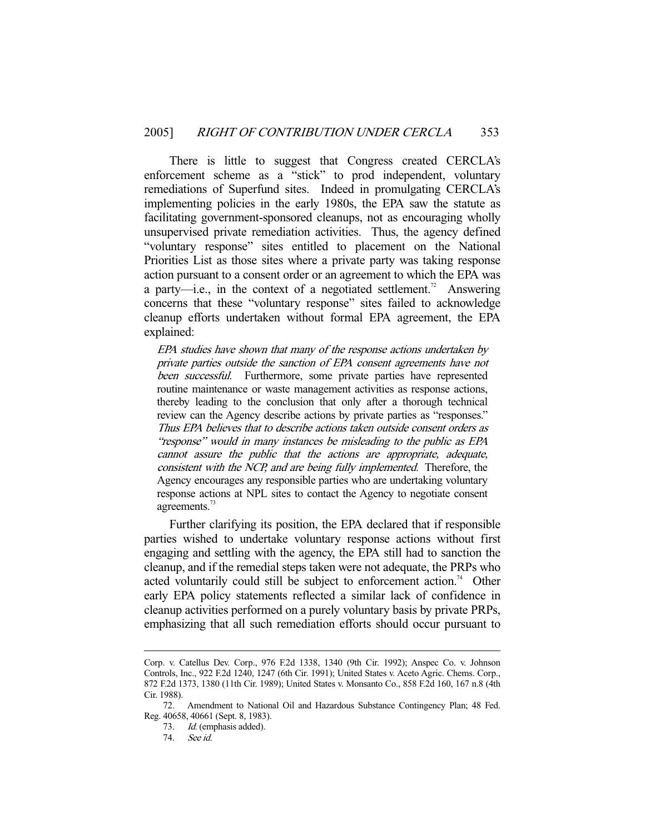There is little to suggest that Congress created CERCLA's enforcement scheme as a "stick" to prod independent, voluntary remediations of Superfund sites. Indeed in promulgating CERCLA's implementing policies in the early 1980s, the EPA saw the statute as facilitating government-sponsored cleanups, not as encouraging wholly unsupervised private remediation activities. Thus, the agency defined "voluntary response" sites entitled to placement on the National Priorities List as those sites where a private party was taking response action pursuant to a consent order or an agreement to which the EPA was a party—i.e., in the context of a negotiated settlement.<sup>72</sup> Answering concerns that these "voluntary response" sites failed to acknowledge cleanup efforts undertaken without formal EPA agreement, the EPA explained:

EPA studies have shown that many of the response actions undertaken by private parties outside the sanction of EPA consent agreements have not been successful. Furthermore, some private parties have represented routine maintenance or waste management activities as response actions, thereby leading to the conclusion that only after a thorough technical review can the Agency describe actions by private parties as "responses." Thus EPA believes that to describe actions taken outside consent orders as "response" would in many instances be misleading to the public as EPA cannot assure the public that the actions are appropriate, adequate, consistent with the NCP, and are being fully implemented. Therefore, the Agency encourages any responsible parties who are undertaking voluntary response actions at NPL sites to contact the Agency to negotiate consent agreements.<sup>73</sup>

 Further clarifying its position, the EPA declared that if responsible parties wished to undertake voluntary response actions without first engaging and settling with the agency, the EPA still had to sanction the cleanup, and if the remedial steps taken were not adequate, the PRPs who acted voluntarily could still be subject to enforcement action.<sup>74</sup> Other early EPA policy statements reflected a similar lack of confidence in cleanup activities performed on a purely voluntary basis by private PRPs, emphasizing that all such remediation efforts should occur pursuant to

Corp. v. Catellus Dev. Corp., 976 F.2d 1338, 1340 (9th Cir. 1992); Anspec Co. v. Johnson Controls, Inc., 922 F.2d 1240, 1247 (6th Cir. 1991); United States v. Aceto Agric. Chems. Corp., 872 F.2d 1373, 1380 (11th Cir. 1989); United States v. Monsanto Co., 858 F.2d 160, 167 n.8 (4th Cir. 1988).

 <sup>72.</sup> Amendment to National Oil and Hazardous Substance Contingency Plan; 48 Fed. Reg. 40658, 40661 (Sept. 8, 1983).

<sup>73.</sup> Id. (emphasis added).

 <sup>74.</sup> See id.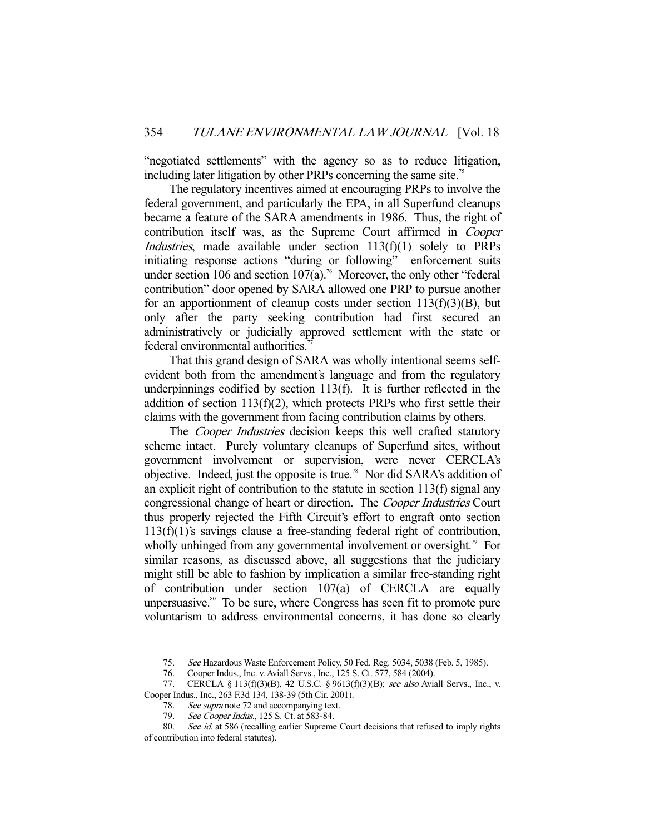"negotiated settlements" with the agency so as to reduce litigation, including later litigation by other PRPs concerning the same site.<sup>75</sup>

 The regulatory incentives aimed at encouraging PRPs to involve the federal government, and particularly the EPA, in all Superfund cleanups became a feature of the SARA amendments in 1986. Thus, the right of contribution itself was, as the Supreme Court affirmed in Cooper Industries, made available under section 113(f)(1) solely to PRPs initiating response actions "during or following" enforcement suits under section 106 and section  $107(a)$ .<sup>76</sup> Moreover, the only other "federal" contribution" door opened by SARA allowed one PRP to pursue another for an apportionment of cleanup costs under section  $113(f)(3)(B)$ , but only after the party seeking contribution had first secured an administratively or judicially approved settlement with the state or federal environmental authorities.<sup>77</sup>

 That this grand design of SARA was wholly intentional seems selfevident both from the amendment's language and from the regulatory underpinnings codified by section 113(f). It is further reflected in the addition of section  $113(f)(2)$ , which protects PRPs who first settle their claims with the government from facing contribution claims by others.

The *Cooper Industries* decision keeps this well crafted statutory scheme intact. Purely voluntary cleanups of Superfund sites, without government involvement or supervision, were never CERCLA's objective. Indeed, just the opposite is true.<sup>78</sup> Nor did SARA's addition of an explicit right of contribution to the statute in section 113(f) signal any congressional change of heart or direction. The Cooper Industries Court thus properly rejected the Fifth Circuit's effort to engraft onto section 113(f)(1)'s savings clause a free-standing federal right of contribution, wholly unhinged from any governmental involvement or oversight.<sup>79</sup> For similar reasons, as discussed above, all suggestions that the judiciary might still be able to fashion by implication a similar free-standing right of contribution under section 107(a) of CERCLA are equally unpersuasive. $80^{\circ}$  To be sure, where Congress has seen fit to promote pure voluntarism to address environmental concerns, it has done so clearly

 <sup>75.</sup> See Hazardous Waste Enforcement Policy, 50 Fed. Reg. 5034, 5038 (Feb. 5, 1985).

 <sup>76.</sup> Cooper Indus., Inc. v. Aviall Servs., Inc., 125 S. Ct. 577, 584 (2004).

<sup>77.</sup> CERCLA § 113(f)(3)(B), 42 U.S.C. § 9613(f)(3)(B); see also Aviall Servs., Inc., v. Cooper Indus., Inc., 263 F.3d 134, 138-39 (5th Cir. 2001).

<sup>78.</sup> See supra note 72 and accompanying text.

<sup>79.</sup> See Cooper Indus., 125 S. Ct. at 583-84.

<sup>80.</sup> See id. at 586 (recalling earlier Supreme Court decisions that refused to imply rights of contribution into federal statutes).